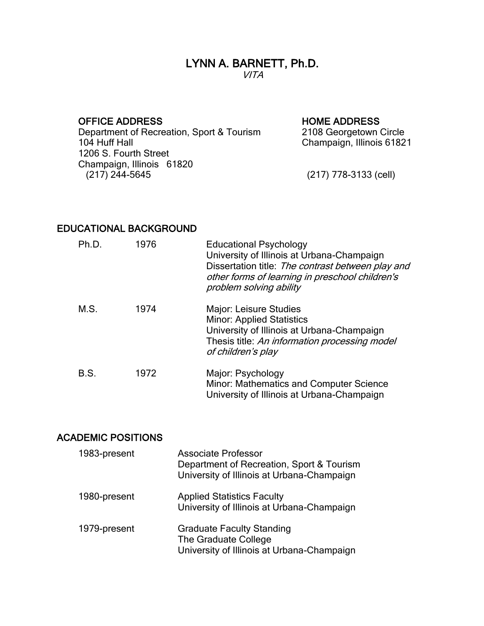#### LYNN A. BARNETT, Ph.D. VITA

OFFICE ADDRESS<br>
Department of Recreation, Sport & Tourism 2108 Georgetown Circle Department of Recreation, Sport & Tourism<br>104 Huff Hall 1206 S. Fourth Street Champaign, Illinois 61820

Champaign, Illinois 61821

(217) 778-3133 (cell)

#### EDUCATIONAL BACKGROUND

| Ph.D. | 1976 | <b>Educational Psychology</b><br>University of Illinois at Urbana-Champaign<br>Dissertation title: The contrast between play and<br>other forms of learning in preschool children's<br>problem solving ability |
|-------|------|----------------------------------------------------------------------------------------------------------------------------------------------------------------------------------------------------------------|
| M.S.  | 1974 | Major: Leisure Studies<br><b>Minor: Applied Statistics</b><br>University of Illinois at Urbana-Champaign<br>Thesis title: An information processing model<br>of children's play                                |
| B.S.  | 1972 | Major: Psychology<br>Minor: Mathematics and Computer Science<br>University of Illinois at Urbana-Champaign                                                                                                     |

# ACADEMIC POSITIONS

| 1983-present | <b>Associate Professor</b><br>Department of Recreation, Sport & Tourism<br>University of Illinois at Urbana-Champaign |
|--------------|-----------------------------------------------------------------------------------------------------------------------|
| 1980-present | <b>Applied Statistics Faculty</b><br>University of Illinois at Urbana-Champaign                                       |
| 1979-present | <b>Graduate Faculty Standing</b><br>The Graduate College<br>University of Illinois at Urbana-Champaign                |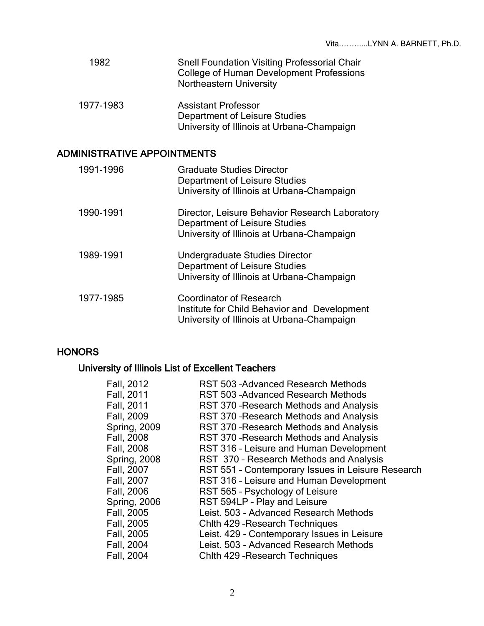| 1982 | <b>Snell Foundation Visiting Professorial Chair</b> |
|------|-----------------------------------------------------|
|      | College of Human Development Professions            |
|      | <b>Northeastern University</b>                      |
|      |                                                     |

1977-1983 Assistant Professor Department of Leisure Studies University of Illinois at Urbana-Champaign

# ADMINISTRATIVE APPOINTMENTS

| 1991-1996 | <b>Graduate Studies Director</b><br>Department of Leisure Studies<br>University of Illinois at Urbana-Champaign                      |
|-----------|--------------------------------------------------------------------------------------------------------------------------------------|
| 1990-1991 | Director, Leisure Behavior Research Laboratory<br><b>Department of Leisure Studies</b><br>University of Illinois at Urbana-Champaign |
| 1989-1991 | Undergraduate Studies Director<br><b>Department of Leisure Studies</b><br>University of Illinois at Urbana-Champaign                 |
| 1977-1985 | <b>Coordinator of Research</b><br>Institute for Child Behavior and Development<br>University of Illinois at Urbana-Champaign         |

## **HONORS**

# University of Illinois List of Excellent Teachers

| <b>RST 503-Advanced Research Methods</b>          |
|---------------------------------------------------|
| <b>RST 503-Advanced Research Methods</b>          |
| RST 370 - Research Methods and Analysis           |
| RST 370 - Research Methods and Analysis           |
| RST 370 - Research Methods and Analysis           |
| RST 370 - Research Methods and Analysis           |
| RST 316 - Leisure and Human Development           |
| RST 370 - Research Methods and Analysis           |
| RST 551 - Contemporary Issues in Leisure Research |
| RST 316 - Leisure and Human Development           |
| RST 565 - Psychology of Leisure                   |
| RST 594LP - Play and Leisure                      |
| Leist. 503 - Advanced Research Methods            |
| Chith 429 - Research Techniques                   |
| Leist. 429 - Contemporary Issues in Leisure       |
| Leist. 503 - Advanced Research Methods            |
| Chith 429 - Research Techniques                   |
|                                                   |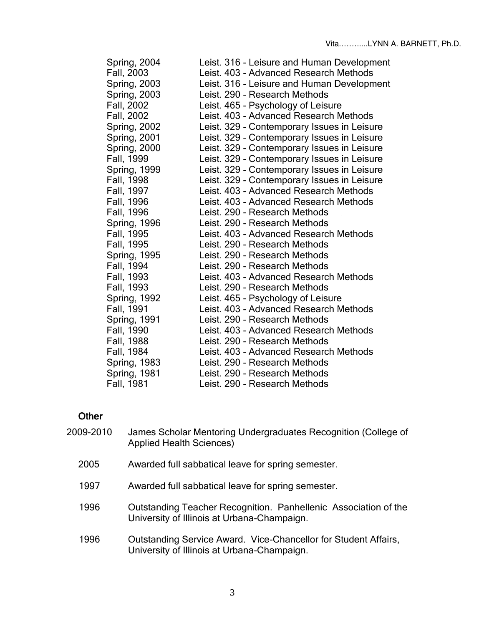| Spring, 2004        | Leist. 316 - Leisure and Human Development  |
|---------------------|---------------------------------------------|
| Fall, 2003          | Leist. 403 - Advanced Research Methods      |
| <b>Spring, 2003</b> | Leist. 316 - Leisure and Human Development  |
| <b>Spring, 2003</b> | Leist. 290 - Research Methods               |
| Fall, 2002          | Leist. 465 - Psychology of Leisure          |
| Fall, 2002          | Leist. 403 - Advanced Research Methods      |
| <b>Spring, 2002</b> | Leist. 329 - Contemporary Issues in Leisure |
| Spring, 2001        | Leist. 329 - Contemporary Issues in Leisure |
| <b>Spring, 2000</b> | Leist. 329 - Contemporary Issues in Leisure |
| Fall, 1999          | Leist. 329 - Contemporary Issues in Leisure |
| <b>Spring, 1999</b> | Leist. 329 - Contemporary Issues in Leisure |
| Fall, 1998          | Leist. 329 - Contemporary Issues in Leisure |
| Fall, 1997          | Leist. 403 - Advanced Research Methods      |
| Fall, 1996          | Leist, 403 - Advanced Research Methods      |
| Fall, 1996          | Leist. 290 - Research Methods               |
| <b>Spring, 1996</b> | Leist. 290 - Research Methods               |
| Fall, 1995          | Leist. 403 - Advanced Research Methods      |
| Fall, 1995          | Leist. 290 - Research Methods               |
| <b>Spring, 1995</b> | Leist. 290 - Research Methods               |
| Fall, 1994          | Leist. 290 - Research Methods               |
| Fall, 1993          | Leist. 403 - Advanced Research Methods      |
| Fall, 1993          | Leist. 290 - Research Methods               |
| Spring, 1992        | Leist. 465 - Psychology of Leisure          |
| Fall, 1991          | Leist. 403 - Advanced Research Methods      |
| Spring, 1991        | Leist. 290 - Research Methods               |
| Fall, 1990          | Leist. 403 - Advanced Research Methods      |
| Fall, 1988          | Leist. 290 - Research Methods               |
| Fall, 1984          | Leist. 403 - Advanced Research Methods      |
| <b>Spring, 1983</b> | Leist. 290 - Research Methods               |
| Spring, 1981        | Leist. 290 - Research Methods               |
| Fall, 1981          | Leist. 290 - Research Methods               |

# **Other**

| 2009-2010 | James Scholar Mentoring Undergraduates Recognition (College of<br><b>Applied Health Sciences)</b>              |
|-----------|----------------------------------------------------------------------------------------------------------------|
| 2005      | Awarded full sabbatical leave for spring semester.                                                             |
| 1997      | Awarded full sabbatical leave for spring semester.                                                             |
| 1996      | Outstanding Teacher Recognition. Panhellenic Association of the<br>University of Illinois at Urbana-Champaign. |
| 1996      | Outstanding Service Award. Vice-Chancellor for Student Affairs,<br>University of Illinois at Urbana-Champaign. |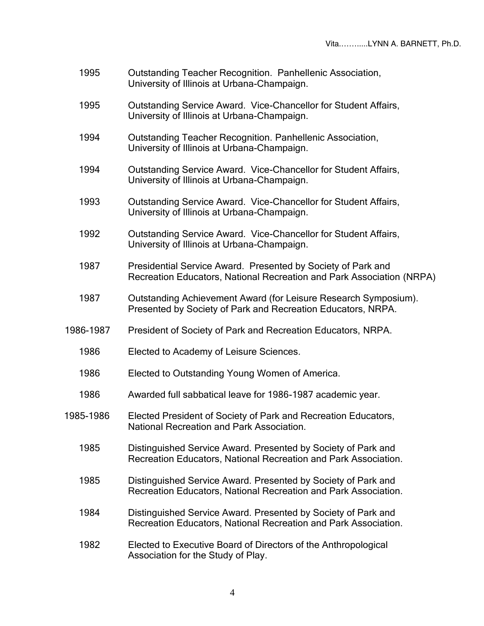- 1995 Outstanding Teacher Recognition. Panhellenic Association, University of Illinois at Urbana-Champaign.
- 1995 Outstanding Service Award. Vice-Chancellor for Student Affairs, University of Illinois at Urbana-Champaign.
- 1994 Outstanding Teacher Recognition. Panhellenic Association, University of Illinois at Urbana-Champaign.
- 1994 Outstanding Service Award. Vice-Chancellor for Student Affairs, University of Illinois at Urbana-Champaign.
- 1993 Outstanding Service Award. Vice-Chancellor for Student Affairs, University of Illinois at Urbana-Champaign.
- 1992 Outstanding Service Award. Vice-Chancellor for Student Affairs, University of Illinois at Urbana-Champaign.
- 1987 Presidential Service Award. Presented by Society of Park and Recreation Educators, National Recreation and Park Association (NRPA)
- 1987 Outstanding Achievement Award (for Leisure Research Symposium). Presented by Society of Park and Recreation Educators, NRPA.
- 1986-1987 President of Society of Park and Recreation Educators, NRPA.
	- 1986 Elected to Academy of Leisure Sciences.
	- 1986 Elected to Outstanding Young Women of America.
	- 1986 Awarded full sabbatical leave for 1986-1987 academic year.
- 1985-1986 Elected President of Society of Park and Recreation Educators, National Recreation and Park Association.
	- 1985 Distinguished Service Award. Presented by Society of Park and Recreation Educators, National Recreation and Park Association.
	- 1985 Distinguished Service Award. Presented by Society of Park and Recreation Educators, National Recreation and Park Association.
	- 1984 Distinguished Service Award. Presented by Society of Park and Recreation Educators, National Recreation and Park Association.
	- 1982 Elected to Executive Board of Directors of the Anthropological Association for the Study of Play.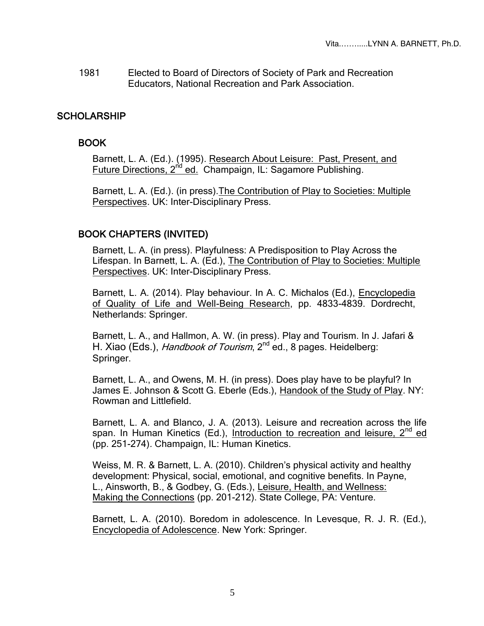1981 Elected to Board of Directors of Society of Park and Recreation Educators, National Recreation and Park Association.

## **SCHOLARSHIP**

# BOOK

Barnett, L. A. (Ed.). (1995). Research About Leisure: Past, Present, and Future Directions, 2<sup>nd</sup> ed. Champaign, IL: Sagamore Publishing.

Barnett, L. A. (Ed.). (in press).The Contribution of Play to Societies: Multiple Perspectives. UK: Inter-Disciplinary Press.

# BOOK CHAPTERS (INVITED)

Barnett, L. A. (in press). Playfulness: A Predisposition to Play Across the Lifespan. In Barnett, L. A. (Ed.), The Contribution of Play to Societies: Multiple Perspectives. UK: Inter-Disciplinary Press.

Barnett, L. A. (2014). Play behaviour. In A. C. Michalos (Ed.), Encyclopedia of Quality of Life and Well-Being Research, pp. 4833-4839. Dordrecht, Netherlands: Springer.

Barnett, L. A., and Hallmon, A. W. (in press). Play and Tourism. In J. Jafari & H. Xiao (Eds.), *Handbook of Tourism*, 2<sup>nd</sup> ed., 8 pages. Heidelberg: Springer.

Barnett, L. A., and Owens, M. H. (in press). Does play have to be playful? In James E. Johnson & Scott G. Eberle (Eds.), Handook of the Study of Play. NY: Rowman and Littlefield.

Barnett, L. A. and Blanco, J. A. (2013). Leisure and recreation across the life span. In Human Kinetics (Ed.), Introduction to recreation and leisure, 2<sup>nd</sup> ed (pp. 251-274). Champaign, IL: Human Kinetics.

Weiss, M. R. & Barnett, L. A. (2010). Children's physical activity and healthy development: Physical, social, emotional, and cognitive benefits. In Payne, L., Ainsworth, B., & Godbey, G. (Eds.), Leisure, Health, and Wellness: Making the Connections (pp. 201-212). State College, PA: Venture.

Barnett, L. A. (2010). Boredom in adolescence. In Levesque, R. J. R. (Ed.), Encyclopedia of Adolescence. New York: Springer.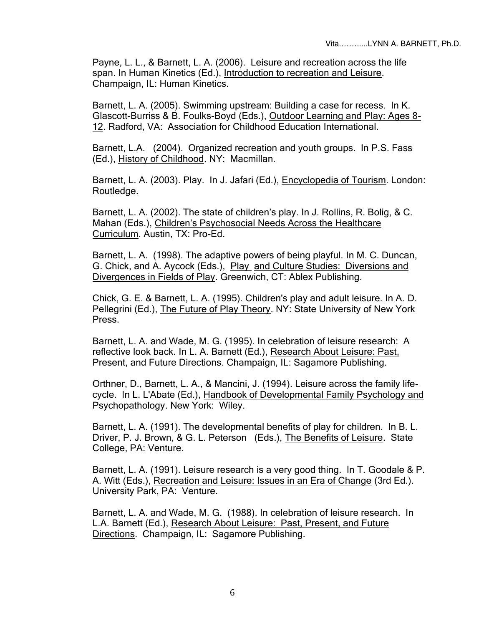Payne, L. L., & Barnett, L. A. (2006). Leisure and recreation across the life span. In Human Kinetics (Ed.), Introduction to recreation and Leisure. Champaign, IL: Human Kinetics.

Barnett, L. A. (2005). Swimming upstream: Building a case for recess. In K. Glascott-Burriss & B. Foulks-Boyd (Eds.), Outdoor Learning and Play: Ages 8- 12. Radford, VA: Association for Childhood Education International.

Barnett, L.A. (2004). Organized recreation and youth groups. In P.S. Fass (Ed.), History of Childhood. NY: Macmillan.

Barnett, L. A. (2003). Play. In J. Jafari (Ed.), Encyclopedia of Tourism. London: Routledge.

Barnett, L. A. (2002). The state of children's play. In J. Rollins, R. Bolig, & C. Mahan (Eds.), Children's Psychosocial Needs Across the Healthcare Curriculum. Austin, TX: Pro-Ed.

Barnett, L. A. (1998). The adaptive powers of being playful. In M. C. Duncan, G. Chick, and A. Aycock (Eds.), Play and Culture Studies: Diversions and Divergences in Fields of Play. Greenwich, CT: Ablex Publishing.

Chick, G. E. & Barnett, L. A. (1995). Children's play and adult leisure. In A. D. Pellegrini (Ed.), The Future of Play Theory. NY: State University of New York Press.

Barnett, L. A. and Wade, M. G. (1995). In celebration of leisure research: A reflective look back. In L. A. Barnett (Ed.), Research About Leisure: Past, Present, and Future Directions. Champaign, IL: Sagamore Publishing.

Orthner, D., Barnett, L. A., & Mancini, J. (1994). Leisure across the family lifecycle. In L. L'Abate (Ed.), Handbook of Developmental Family Psychology and Psychopathology. New York: Wiley.

Barnett, L. A. (1991). The developmental benefits of play for children. In B. L. Driver, P. J. Brown, & G. L. Peterson (Eds.), The Benefits of Leisure. State College, PA: Venture.

Barnett, L. A. (1991). Leisure research is a very good thing. In T. Goodale & P. A. Witt (Eds.), Recreation and Leisure: Issues in an Era of Change (3rd Ed.). University Park, PA: Venture.

Barnett, L. A. and Wade, M. G. (1988). In celebration of leisure research. In L.A. Barnett (Ed.), Research About Leisure: Past, Present, and Future Directions. Champaign, IL: Sagamore Publishing.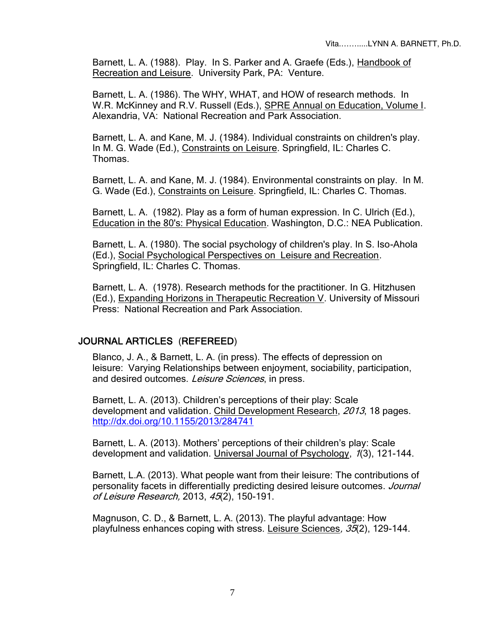Barnett, L. A. (1988). Play. In S. Parker and A. Graefe (Eds.), Handbook of Recreation and Leisure. University Park, PA: Venture.

Barnett, L. A. (1986). The WHY, WHAT, and HOW of research methods. In W.R. McKinney and R.V. Russell (Eds.), SPRE Annual on Education, Volume I. Alexandria, VA: National Recreation and Park Association.

Barnett, L. A. and Kane, M. J. (1984). Individual constraints on children's play. In M. G. Wade (Ed.), Constraints on Leisure. Springfield, IL: Charles C. Thomas.

Barnett, L. A. and Kane, M. J. (1984). Environmental constraints on play. In M. G. Wade (Ed.), Constraints on Leisure. Springfield, IL: Charles C. Thomas.

Barnett, L. A. (1982). Play as a form of human expression. In C. Ulrich (Ed.), Education in the 80's: Physical Education. Washington, D.C.: NEA Publication.

Barnett, L. A. (1980). The social psychology of children's play. In S. Iso-Ahola (Ed.), Social Psychological Perspectives on Leisure and Recreation. Springfield, IL: Charles C. Thomas.

Barnett, L. A. (1978). Research methods for the practitioner. In G. Hitzhusen (Ed.), Expanding Horizons in Therapeutic Recreation V. University of Missouri Press: National Recreation and Park Association.

#### JOURNAL ARTICLES (REFEREED)

Blanco, J. A., & Barnett, L. A. (in press). The effects of depression on leisure: Varying Relationships between enjoyment, sociability, participation, and desired outcomes. Leisure Sciences, in press.

Barnett, L. A. (2013). Children's perceptions of their play: Scale development and validation. Child Development Research, 2013, 18 pages. <http://dx.doi.org/10.1155/2013/284741>

Barnett, L. A. (2013). Mothers' perceptions of their children's play: Scale development and validation. Universal Journal of Psychology, 1(3), 121-144.

Barnett, L.A. (2013). What people want from their leisure: The contributions of personality facets in differentially predicting desired leisure outcomes. Journal of Leisure Research, 2013, 45(2), 150-191.

Magnuson, C. D., & Barnett, L. A. (2013). The playful advantage: How playfulness enhances coping with stress. Leisure Sciences,  $35(2)$ , 129-144.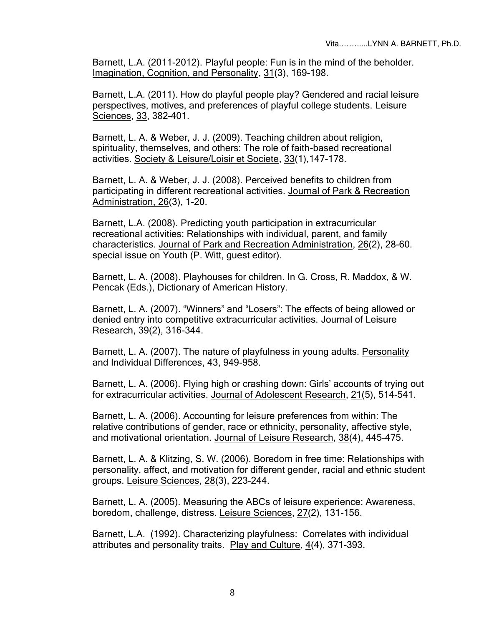Barnett, L.A. (2011-2012). Playful people: Fun is in the mind of the beholder. Imagination, Cognition, and Personality, 31(3), 169-198.

Barnett, L.A. (2011). How do playful people play? Gendered and racial leisure perspectives, motives, and preferences of playful college students. Leisure Sciences, 33, 382–401.

Barnett, L. A. & Weber, J. J. (2009). Teaching children about religion, spirituality, themselves, and others: The role of faith-based recreational activities. Society & Leisure/Loisir et Societe, 33(1),147-178.

Barnett, L. A. & Weber, J. J. (2008). Perceived benefits to children from participating in different recreational activities. Journal of Park & Recreation Administration, 26(3), 1-20.

Barnett, L.A. (2008). Predicting youth participation in extracurricular recreational activities: Relationships with individual, parent, and family characteristics. Journal of Park and Recreation Administration, 26(2), 28-60. special issue on Youth (P. Witt, guest editor).

Barnett, L. A. (2008). Playhouses for children. In G. Cross, R. Maddox, & W. Pencak (Eds.), Dictionary of American History.

Barnett, L. A. (2007). "Winners" and "Losers": The effects of being allowed or denied entry into competitive extracurricular activities. Journal of Leisure Research, 39(2), 316-344.

Barnett, L. A. (2007). The nature of playfulness in young adults. Personality and Individual Differences, 43, 949-958.

Barnett, L. A. (2006). Flying high or crashing down: Girls' accounts of trying out for extracurricular activities. Journal of Adolescent Research, 21(5), 514-541.

Barnett, L. A. (2006). Accounting for leisure preferences from within: The relative contributions of gender, race or ethnicity, personality, affective style, and motivational orientation. Journal of Leisure Research, 38(4), 445-475.

Barnett, L. A. & Klitzing, S. W. (2006). Boredom in free time: Relationships with personality, affect, and motivation for different gender, racial and ethnic student groups. Leisure Sciences, 28(3), 223-244.

Barnett, L. A. (2005). Measuring the ABCs of leisure experience: Awareness, boredom, challenge, distress. Leisure Sciences, 27(2), 131-156.

Barnett, L.A. (1992). Characterizing playfulness: Correlates with individual attributes and personality traits. Play and Culture, 4(4), 371-393.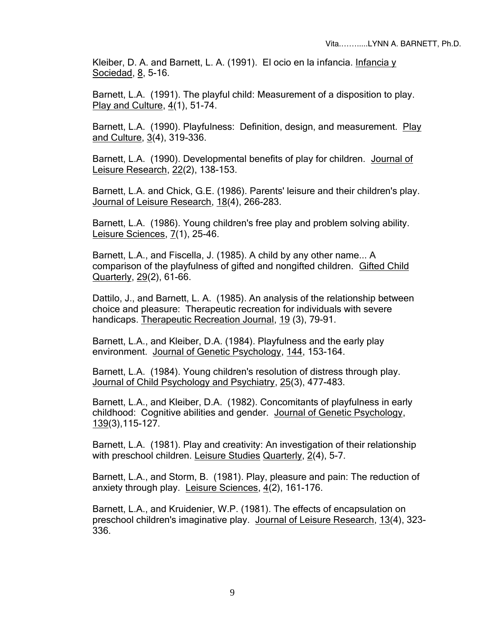Kleiber, D. A. and Barnett, L. A. (1991). El ocio en la infancia. Infancia y Sociedad, 8, 5-16.

Barnett, L.A. (1991). The playful child: Measurement of a disposition to play. Play and Culture, 4(1), 51-74.

Barnett, L.A. (1990). Playfulness: Definition, design, and measurement. Play and Culture, 3(4), 319-336.

Barnett, L.A. (1990). Developmental benefits of play for children. Journal of Leisure Research, 22(2), 138-153.

Barnett, L.A. and Chick, G.E. (1986). Parents' leisure and their children's play. Journal of Leisure Research, 18(4), 266-283.

Barnett, L.A. (1986). Young children's free play and problem solving ability. Leisure Sciences, 7(1), 25-46.

Barnett, L.A., and Fiscella, J. (1985). A child by any other name... A comparison of the playfulness of gifted and nongifted children. Gifted Child Quarterly, 29(2), 61-66.

Dattilo, J., and Barnett, L. A. (1985). An analysis of the relationship between choice and pleasure: Therapeutic recreation for individuals with severe handicaps. Therapeutic Recreation Journal, 19 (3), 79-91.

Barnett, L.A., and Kleiber, D.A. (1984). Playfulness and the early play environment. Journal of Genetic Psychology, 144, 153-164.

Barnett, L.A. (1984). Young children's resolution of distress through play. Journal of Child Psychology and Psychiatry, 25(3), 477-483.

Barnett, L.A., and Kleiber, D.A. (1982). Concomitants of playfulness in early childhood: Cognitive abilities and gender. Journal of Genetic Psychology, 139(3),115-127.

Barnett, L.A. (1981). Play and creativity: An investigation of their relationship with preschool children. Leisure Studies Quarterly, 2(4), 5-7.

Barnett, L.A., and Storm, B. (1981). Play, pleasure and pain: The reduction of anxiety through play. Leisure Sciences, 4(2), 161-176.

Barnett, L.A., and Kruidenier, W.P. (1981). The effects of encapsulation on preschool children's imaginative play. Journal of Leisure Research, 13(4), 323- 336.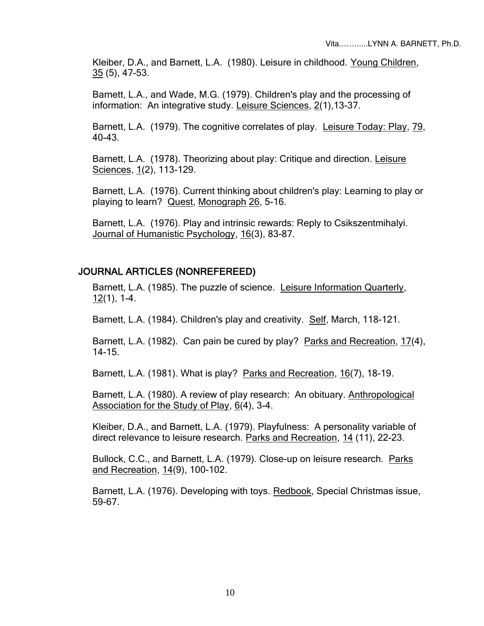Kleiber, D.A., and Barnett, L.A. (1980). Leisure in childhood. Young Children, 35 (5), 47-53.

Barnett, L.A., and Wade, M.G. (1979). Children's play and the processing of information: An integrative study. Leisure Sciences, 2(1),13-37.

Barnett, L.A. (1979). The cognitive correlates of play. Leisure Today: Play, 79, 40-43.

Barnett, L.A. (1978). Theorizing about play: Critique and direction. Leisure Sciences, 1(2), 113-129.

Barnett, L.A. (1976). Current thinking about children's play: Learning to play or playing to learn? Quest, Monograph 26, 5-16.

Barnett, L.A. (1976). Play and intrinsic rewards: Reply to Csikszentmihalyi. Journal of Humanistic Psychology, 16(3), 83-87.

#### JOURNAL ARTICLES (NONREFEREED)

Barnett, L.A. (1985). The puzzle of science. Leisure Information Quarterly,  $12(1)$ , 1-4.

Barnett, L.A. (1984). Children's play and creativity. Self, March, 118-121.

Barnett, L.A. (1982). Can pain be cured by play? Parks and Recreation, 17(4), 14-15.

Barnett, L.A. (1981). What is play? Parks and Recreation, 16(7), 18-19.

Barnett, L.A. (1980). A review of play research: An obituary. Anthropological Association for the Study of Play, 6(4), 3-4.

Kleiber, D.A., and Barnett, L.A. (1979). Playfulness: A personality variable of direct relevance to leisure research. Parks and Recreation, 14 (11), 22-23.

Bullock, C.C., and Barnett, L.A. (1979). Close-up on leisure research. Parks and Recreation, 14(9), 100-102.

Barnett, L.A. (1976). Developing with toys. Redbook, Special Christmas issue, 59-67.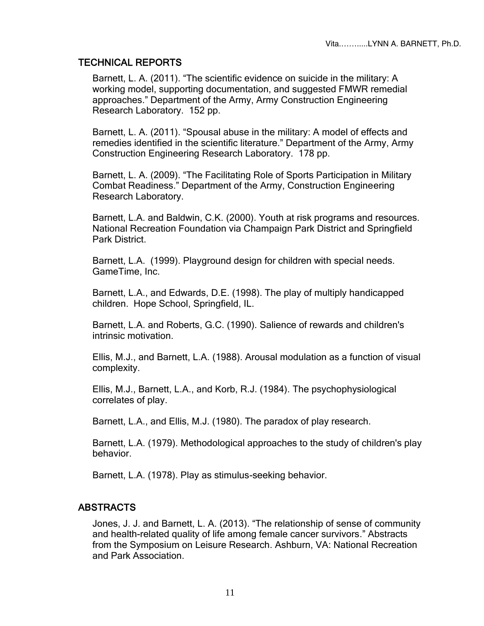## TECHNICAL REPORTS

Barnett, L. A. (2011). "The scientific evidence on suicide in the military: A working model, supporting documentation, and suggested FMWR remedial approaches." Department of the Army, Army Construction Engineering Research Laboratory. 152 pp.

Barnett, L. A. (2011). "Spousal abuse in the military: A model of effects and remedies identified in the scientific literature." Department of the Army, Army Construction Engineering Research Laboratory. 178 pp.

Barnett, L. A. (2009). "The Facilitating Role of Sports Participation in Military Combat Readiness." Department of the Army, Construction Engineering Research Laboratory.

Barnett, L.A. and Baldwin, C.K. (2000). Youth at risk programs and resources. National Recreation Foundation via Champaign Park District and Springfield Park District.

Barnett, L.A. (1999). Playground design for children with special needs. GameTime, Inc.

Barnett, L.A., and Edwards, D.E. (1998). The play of multiply handicapped children. Hope School, Springfield, IL.

Barnett, L.A. and Roberts, G.C. (1990). Salience of rewards and children's intrinsic motivation.

Ellis, M.J., and Barnett, L.A. (1988). Arousal modulation as a function of visual complexity.

Ellis, M.J., Barnett, L.A., and Korb, R.J. (1984). The psychophysiological correlates of play.

Barnett, L.A., and Ellis, M.J. (1980). The paradox of play research.

Barnett, L.A. (1979). Methodological approaches to the study of children's play behavior.

Barnett, L.A. (1978). Play as stimulus-seeking behavior.

## ABSTRACTS

Jones, J. J. and Barnett, L. A. (2013). "The relationship of sense of community and health-related quality of life among female cancer survivors." Abstracts from the Symposium on Leisure Research. Ashburn, VA: National Recreation and Park Association.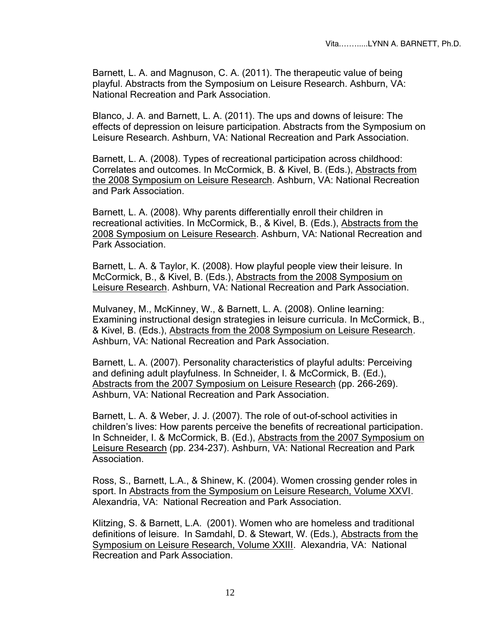Barnett, L. A. and Magnuson, C. A. (2011). The therapeutic value of being playful. Abstracts from the Symposium on Leisure Research. Ashburn, VA: National Recreation and Park Association.

Blanco, J. A. and Barnett, L. A. (2011). The ups and downs of leisure: The effects of depression on leisure participation. Abstracts from the Symposium on Leisure Research. Ashburn, VA: National Recreation and Park Association.

Barnett, L. A. (2008). Types of recreational participation across childhood: Correlates and outcomes. In McCormick, B. & Kivel, B. (Eds.), Abstracts from the 2008 Symposium on Leisure Research. Ashburn, VA: National Recreation and Park Association.

Barnett, L. A. (2008). Why parents differentially enroll their children in recreational activities. In McCormick, B., & Kivel, B. (Eds.), Abstracts from the 2008 Symposium on Leisure Research. Ashburn, VA: National Recreation and Park Association.

Barnett, L. A. & Taylor, K. (2008). How playful people view their leisure. In McCormick, B., & Kivel, B. (Eds.), Abstracts from the 2008 Symposium on Leisure Research. Ashburn, VA: National Recreation and Park Association.

Mulvaney, M., McKinney, W., & Barnett, L. A. (2008). Online learning: Examining instructional design strategies in leisure curricula. In McCormick, B., & Kivel, B. (Eds.), Abstracts from the 2008 Symposium on Leisure Research. Ashburn, VA: National Recreation and Park Association.

Barnett, L. A. (2007). Personality characteristics of playful adults: Perceiving and defining adult playfulness. In Schneider, I. & McCormick, B. (Ed.), Abstracts from the 2007 Symposium on Leisure Research (pp. 266-269). Ashburn, VA: National Recreation and Park Association.

Barnett, L. A. & Weber, J. J. (2007). The role of out-of-school activities in children's lives: How parents perceive the benefits of recreational participation. In Schneider, I. & McCormick, B. (Ed.), Abstracts from the 2007 Symposium on Leisure Research (pp. 234-237). Ashburn, VA: National Recreation and Park Association.

Ross, S., Barnett, L.A., & Shinew, K. (2004). Women crossing gender roles in sport. In Abstracts from the Symposium on Leisure Research, Volume XXVI. Alexandria, VA: National Recreation and Park Association.

Klitzing, S. & Barnett, L.A. (2001). Women who are homeless and traditional definitions of leisure. In Samdahl, D. & Stewart, W. (Eds.), Abstracts from the Symposium on Leisure Research, Volume XXIII. Alexandria, VA: National Recreation and Park Association.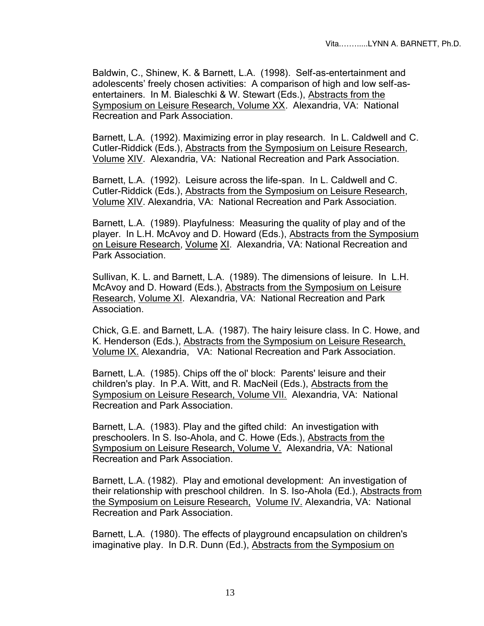Baldwin, C., Shinew, K. & Barnett, L.A. (1998). Self-as-entertainment and adolescents' freely chosen activities: A comparison of high and low self-asentertainers. In M. Bialeschki & W. Stewart (Eds.), Abstracts from the Symposium on Leisure Research, Volume XX. Alexandria, VA: National Recreation and Park Association.

Barnett, L.A. (1992). Maximizing error in play research. In L. Caldwell and C. Cutler-Riddick (Eds.), Abstracts from the Symposium on Leisure Research, Volume XIV. Alexandria, VA: National Recreation and Park Association.

Barnett, L.A. (1992). Leisure across the life-span. In L. Caldwell and C. Cutler-Riddick (Eds.), Abstracts from the Symposium on Leisure Research, Volume XIV. Alexandria, VA: National Recreation and Park Association.

Barnett, L.A. (1989). Playfulness: Measuring the quality of play and of the player. In L.H. McAvoy and D. Howard (Eds.), Abstracts from the Symposium on Leisure Research, Volume XI. Alexandria, VA: National Recreation and Park Association.

Sullivan, K. L. and Barnett, L.A. (1989). The dimensions of leisure. In L.H. McAvoy and D. Howard (Eds.), Abstracts from the Symposium on Leisure Research, Volume XI. Alexandria, VA: National Recreation and Park Association.

Chick, G.E. and Barnett, L.A. (1987). The hairy leisure class. In C. Howe, and K. Henderson (Eds.), Abstracts from the Symposium on Leisure Research, Volume IX. Alexandria, VA: National Recreation and Park Association.

Barnett, L.A. (1985). Chips off the ol' block: Parents' leisure and their children's play. In P.A. Witt, and R. MacNeil (Eds.), Abstracts from the Symposium on Leisure Research, Volume VII. Alexandria, VA: National Recreation and Park Association.

Barnett, L.A. (1983). Play and the gifted child: An investigation with preschoolers. In S. Iso-Ahola, and C. Howe (Eds.), Abstracts from the Symposium on Leisure Research, Volume V. Alexandria, VA: National Recreation and Park Association.

Barnett, L.A. (1982). Play and emotional development: An investigation of their relationship with preschool children. In S. Iso-Ahola (Ed.), Abstracts from the Symposium on Leisure Research, Volume IV. Alexandria, VA: National Recreation and Park Association.

Barnett, L.A. (1980). The effects of playground encapsulation on children's imaginative play. In D.R. Dunn (Ed.), Abstracts from the Symposium on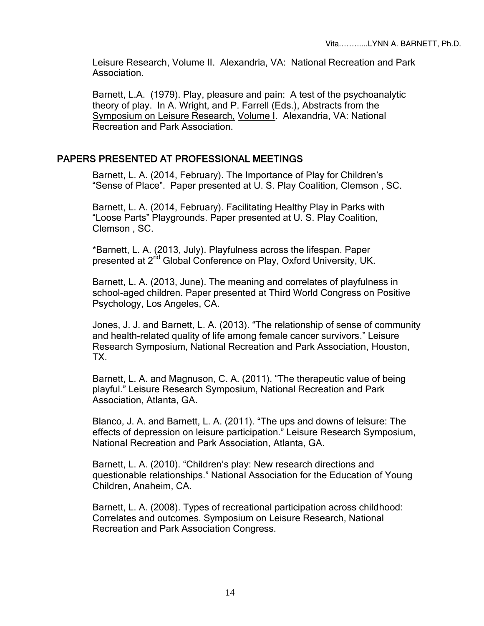Leisure Research, Volume II. Alexandria, VA: National Recreation and Park Association.

Barnett, L.A. (1979). Play, pleasure and pain: A test of the psychoanalytic theory of play. In A. Wright, and P. Farrell (Eds.), Abstracts from the Symposium on Leisure Research, Volume I. Alexandria, VA: National Recreation and Park Association.

#### PAPERS PRESENTED AT PROFESSIONAL MEETINGS

Barnett, L. A. (2014, February). The Importance of Play for Children's "Sense of Place". Paper presented at U. S. Play Coalition, Clemson , SC.

Barnett, L. A. (2014, February). Facilitating Healthy Play in Parks with "Loose Parts" Playgrounds. Paper presented at U. S. Play Coalition, Clemson , SC.

\*Barnett, L. A. (2013, July). Playfulness across the lifespan. Paper presented at 2<sup>nd</sup> Global Conference on Play, Oxford University, UK.

Barnett, L. A. (2013, June). The meaning and correlates of playfulness in school-aged children. Paper presented at Third World Congress on Positive Psychology, Los Angeles, CA.

Jones, J. J. and Barnett, L. A. (2013). "The relationship of sense of community and health-related quality of life among female cancer survivors." Leisure Research Symposium, National Recreation and Park Association, Houston, TX.

Barnett, L. A. and Magnuson, C. A. (2011). "The therapeutic value of being playful." Leisure Research Symposium, National Recreation and Park Association, Atlanta, GA.

Blanco, J. A. and Barnett, L. A. (2011). "The ups and downs of leisure: The effects of depression on leisure participation." Leisure Research Symposium, National Recreation and Park Association, Atlanta, GA.

Barnett, L. A. (2010). "Children's play: New research directions and questionable relationships." National Association for the Education of Young Children, Anaheim, CA.

Barnett, L. A. (2008). Types of recreational participation across childhood: Correlates and outcomes. Symposium on Leisure Research, National Recreation and Park Association Congress.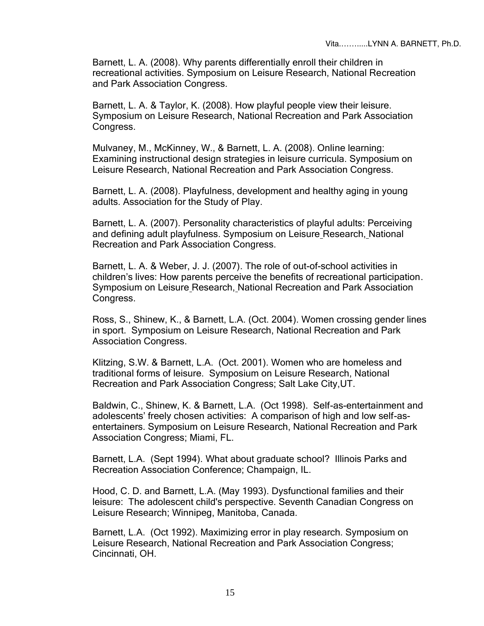Barnett, L. A. (2008). Why parents differentially enroll their children in recreational activities. Symposium on Leisure Research, National Recreation and Park Association Congress.

Barnett, L. A. & Taylor, K. (2008). How playful people view their leisure. Symposium on Leisure Research, National Recreation and Park Association Congress.

Mulvaney, M., McKinney, W., & Barnett, L. A. (2008). Online learning: Examining instructional design strategies in leisure curricula. Symposium on Leisure Research, National Recreation and Park Association Congress.

Barnett, L. A. (2008). Playfulness, development and healthy aging in young adults. Association for the Study of Play.

Barnett, L. A. (2007). Personality characteristics of playful adults: Perceiving and defining adult playfulness. Symposium on Leisure Research, National Recreation and Park Association Congress.

Barnett, L. A. & Weber, J. J. (2007). The role of out-of-school activities in children's lives: How parents perceive the benefits of recreational participation. Symposium on Leisure Research, National Recreation and Park Association Congress.

Ross, S., Shinew, K., & Barnett, L.A. (Oct. 2004). Women crossing gender lines in sport. Symposium on Leisure Research, National Recreation and Park Association Congress.

Klitzing, S.W. & Barnett, L.A. (Oct. 2001). Women who are homeless and traditional forms of leisure. Symposium on Leisure Research, National Recreation and Park Association Congress; Salt Lake City,UT.

Baldwin, C., Shinew, K. & Barnett, L.A. (Oct 1998). Self-as-entertainment and adolescents' freely chosen activities: A comparison of high and low self-asentertainers. Symposium on Leisure Research, National Recreation and Park Association Congress; Miami, FL.

Barnett, L.A. (Sept 1994). What about graduate school? Illinois Parks and Recreation Association Conference; Champaign, IL.

Hood, C. D. and Barnett, L.A. (May 1993). Dysfunctional families and their leisure: The adolescent child's perspective. Seventh Canadian Congress on Leisure Research; Winnipeg, Manitoba, Canada.

Barnett, L.A. (Oct 1992). Maximizing error in play research. Symposium on Leisure Research, National Recreation and Park Association Congress; Cincinnati, OH.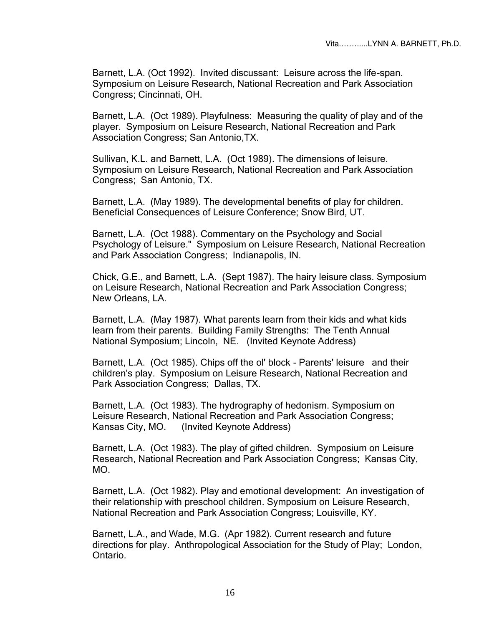Barnett, L.A. (Oct 1992). Invited discussant: Leisure across the life-span. Symposium on Leisure Research, National Recreation and Park Association Congress; Cincinnati, OH.

Barnett, L.A. (Oct 1989). Playfulness: Measuring the quality of play and of the player. Symposium on Leisure Research, National Recreation and Park Association Congress; San Antonio,TX.

Sullivan, K.L. and Barnett, L.A. (Oct 1989). The dimensions of leisure. Symposium on Leisure Research, National Recreation and Park Association Congress; San Antonio, TX.

Barnett, L.A. (May 1989). The developmental benefits of play for children. Beneficial Consequences of Leisure Conference; Snow Bird, UT.

Barnett, L.A. (Oct 1988). Commentary on the Psychology and Social Psychology of Leisure." Symposium on Leisure Research, National Recreation and Park Association Congress; Indianapolis, IN.

Chick, G.E., and Barnett, L.A. (Sept 1987). The hairy leisure class. Symposium on Leisure Research, National Recreation and Park Association Congress; New Orleans, LA.

Barnett, L.A. (May 1987). What parents learn from their kids and what kids learn from their parents. Building Family Strengths: The Tenth Annual National Symposium; Lincoln, NE. (Invited Keynote Address)

Barnett, L.A. (Oct 1985). Chips off the ol' block - Parents' leisure and their children's play. Symposium on Leisure Research, National Recreation and Park Association Congress; Dallas, TX.

Barnett, L.A. (Oct 1983). The hydrography of hedonism. Symposium on Leisure Research, National Recreation and Park Association Congress; Kansas City, MO. (Invited Keynote Address)

Barnett, L.A. (Oct 1983). The play of gifted children. Symposium on Leisure Research, National Recreation and Park Association Congress; Kansas City, MO.

Barnett, L.A. (Oct 1982). Play and emotional development: An investigation of their relationship with preschool children. Symposium on Leisure Research, National Recreation and Park Association Congress; Louisville, KY.

Barnett, L.A., and Wade, M.G. (Apr 1982). Current research and future directions for play. Anthropological Association for the Study of Play; London, Ontario.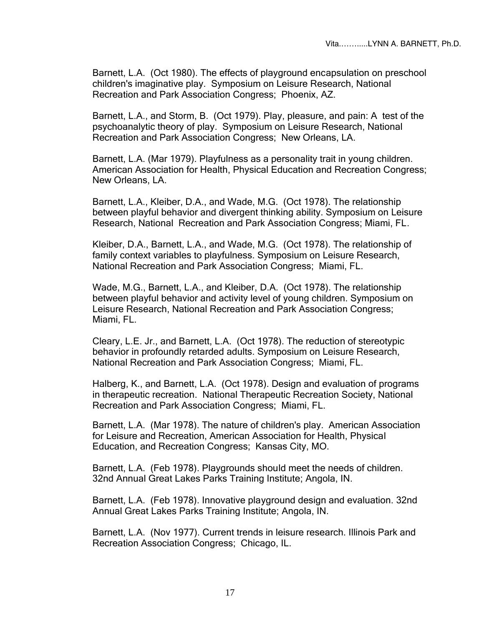Barnett, L.A. (Oct 1980). The effects of playground encapsulation on preschool children's imaginative play. Symposium on Leisure Research, National Recreation and Park Association Congress; Phoenix, AZ.

Barnett, L.A., and Storm, B. (Oct 1979). Play, pleasure, and pain: A test of the psychoanalytic theory of play. Symposium on Leisure Research, National Recreation and Park Association Congress; New Orleans, LA.

Barnett, L.A. (Mar 1979). Playfulness as a personality trait in young children. American Association for Health, Physical Education and Recreation Congress; New Orleans, LA.

Barnett, L.A., Kleiber, D.A., and Wade, M.G. (Oct 1978). The relationship between playful behavior and divergent thinking ability. Symposium on Leisure Research, National Recreation and Park Association Congress; Miami, FL.

Kleiber, D.A., Barnett, L.A., and Wade, M.G. (Oct 1978). The relationship of family context variables to playfulness. Symposium on Leisure Research, National Recreation and Park Association Congress; Miami, FL.

Wade, M.G., Barnett, L.A., and Kleiber, D.A. (Oct 1978). The relationship between playful behavior and activity level of young children. Symposium on Leisure Research, National Recreation and Park Association Congress; Miami, FL.

Cleary, L.E. Jr., and Barnett, L.A. (Oct 1978). The reduction of stereotypic behavior in profoundly retarded adults. Symposium on Leisure Research, National Recreation and Park Association Congress; Miami, FL.

Halberg, K., and Barnett, L.A. (Oct 1978). Design and evaluation of programs in therapeutic recreation. National Therapeutic Recreation Society, National Recreation and Park Association Congress; Miami, FL.

Barnett, L.A. (Mar 1978). The nature of children's play. American Association for Leisure and Recreation, American Association for Health, Physical Education, and Recreation Congress; Kansas City, MO.

Barnett, L.A. (Feb 1978). Playgrounds should meet the needs of children. 32nd Annual Great Lakes Parks Training Institute; Angola, IN.

Barnett, L.A. (Feb 1978). Innovative playground design and evaluation. 32nd Annual Great Lakes Parks Training Institute; Angola, IN.

Barnett, L.A. (Nov 1977). Current trends in leisure research. Illinois Park and Recreation Association Congress; Chicago, IL.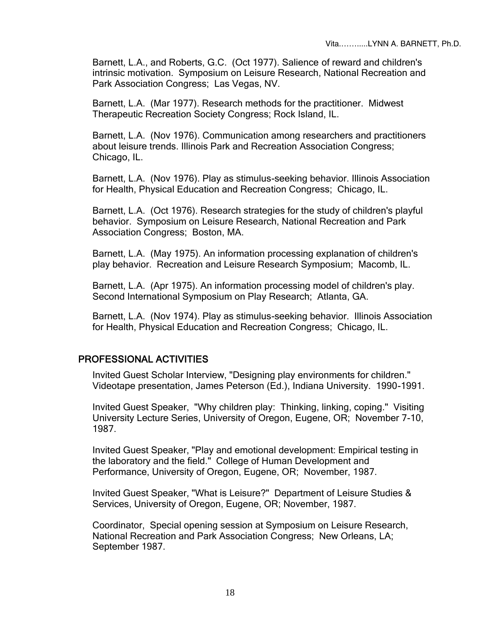Barnett, L.A., and Roberts, G.C. (Oct 1977). Salience of reward and children's intrinsic motivation. Symposium on Leisure Research, National Recreation and Park Association Congress; Las Vegas, NV.

Barnett, L.A. (Mar 1977). Research methods for the practitioner. Midwest Therapeutic Recreation Society Congress; Rock Island, IL.

Barnett, L.A. (Nov 1976). Communication among researchers and practitioners about leisure trends. Illinois Park and Recreation Association Congress; Chicago, IL.

Barnett, L.A. (Nov 1976). Play as stimulus-seeking behavior. Illinois Association for Health, Physical Education and Recreation Congress; Chicago, IL.

Barnett, L.A. (Oct 1976). Research strategies for the study of children's playful behavior. Symposium on Leisure Research, National Recreation and Park Association Congress; Boston, MA.

Barnett, L.A. (May 1975). An information processing explanation of children's play behavior. Recreation and Leisure Research Symposium; Macomb, IL.

Barnett, L.A. (Apr 1975). An information processing model of children's play. Second International Symposium on Play Research; Atlanta, GA.

Barnett, L.A. (Nov 1974). Play as stimulus-seeking behavior. Illinois Association for Health, Physical Education and Recreation Congress; Chicago, IL.

## PROFESSIONAL ACTIVITIES

Invited Guest Scholar Interview, "Designing play environments for children." Videotape presentation, James Peterson (Ed.), Indiana University. 1990-1991.

Invited Guest Speaker, "Why children play: Thinking, linking, coping." Visiting University Lecture Series, University of Oregon, Eugene, OR; November 7-10, 1987.

Invited Guest Speaker, "Play and emotional development: Empirical testing in the laboratory and the field." College of Human Development and Performance, University of Oregon, Eugene, OR; November, 1987.

Invited Guest Speaker, "What is Leisure?" Department of Leisure Studies & Services, University of Oregon, Eugene, OR; November, 1987.

Coordinator, Special opening session at Symposium on Leisure Research, National Recreation and Park Association Congress; New Orleans, LA; September 1987.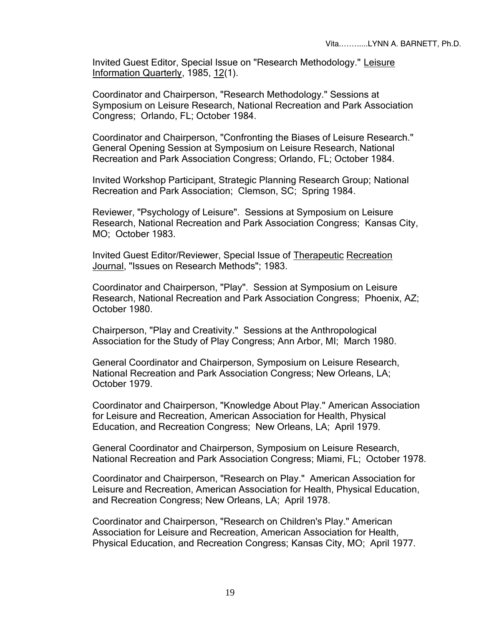Invited Guest Editor, Special Issue on "Research Methodology." Leisure Information Quarterly, 1985, 12(1).

Coordinator and Chairperson, "Research Methodology." Sessions at Symposium on Leisure Research, National Recreation and Park Association Congress; Orlando, FL; October 1984.

Coordinator and Chairperson, "Confronting the Biases of Leisure Research." General Opening Session at Symposium on Leisure Research, National Recreation and Park Association Congress; Orlando, FL; October 1984.

Invited Workshop Participant, Strategic Planning Research Group; National Recreation and Park Association; Clemson, SC; Spring 1984.

Reviewer, "Psychology of Leisure". Sessions at Symposium on Leisure Research, National Recreation and Park Association Congress; Kansas City, MO; October 1983.

Invited Guest Editor/Reviewer, Special Issue of Therapeutic Recreation Journal, "Issues on Research Methods"; 1983.

Coordinator and Chairperson, "Play". Session at Symposium on Leisure Research, National Recreation and Park Association Congress; Phoenix, AZ; October 1980.

Chairperson, "Play and Creativity." Sessions at the Anthropological Association for the Study of Play Congress; Ann Arbor, MI; March 1980.

General Coordinator and Chairperson, Symposium on Leisure Research, National Recreation and Park Association Congress; New Orleans, LA; October 1979.

Coordinator and Chairperson, "Knowledge About Play." American Association for Leisure and Recreation, American Association for Health, Physical Education, and Recreation Congress; New Orleans, LA; April 1979.

General Coordinator and Chairperson, Symposium on Leisure Research, National Recreation and Park Association Congress; Miami, FL; October 1978.

Coordinator and Chairperson, "Research on Play." American Association for Leisure and Recreation, American Association for Health, Physical Education, and Recreation Congress; New Orleans, LA; April 1978.

Coordinator and Chairperson, "Research on Children's Play." American Association for Leisure and Recreation, American Association for Health, Physical Education, and Recreation Congress; Kansas City, MO; April 1977.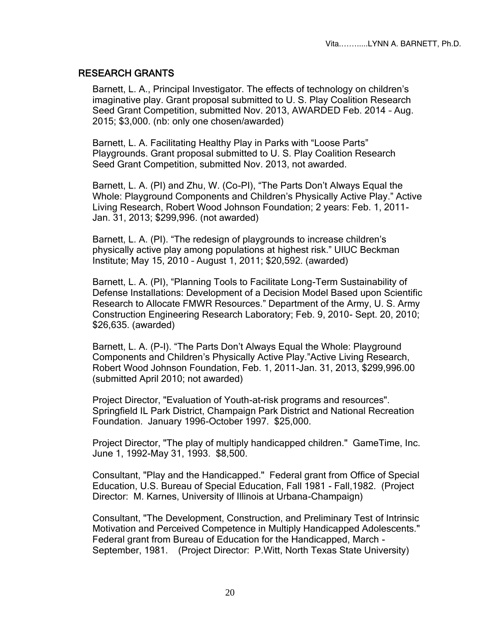#### RESEARCH GRANTS

Barnett, L. A., Principal Investigator. The effects of technology on children's imaginative play. Grant proposal submitted to U. S. Play Coalition Research Seed Grant Competition, submitted Nov. 2013, AWARDED Feb. 2014 – Aug. 2015; \$3,000. (nb: only one chosen/awarded)

Barnett, L. A. Facilitating Healthy Play in Parks with "Loose Parts" Playgrounds. Grant proposal submitted to U. S. Play Coalition Research Seed Grant Competition, submitted Nov. 2013, not awarded.

Barnett, L. A. (PI) and Zhu, W. (Co-PI), "The Parts Don't Always Equal the Whole: Playground Components and Children's Physically Active Play." Active Living Research, Robert Wood Johnson Foundation; 2 years: Feb. 1, 2011- Jan. 31, 2013; \$299,996. (not awarded)

Barnett, L. A. (PI). "The redesign of playgrounds to increase children's physically active play among populations at highest risk." UIUC Beckman Institute; May 15, 2010 – August 1, 2011; \$20,592. (awarded)

Barnett, L. A. (PI), "Planning Tools to Facilitate Long-Term Sustainability of Defense Installations: Development of a Decision Model Based upon Scientific Research to Allocate FMWR Resources." Department of the Army, U. S. Army Construction Engineering Research Laboratory; Feb. 9, 2010- Sept. 20, 2010; \$26,635. (awarded)

Barnett, L. A. (P-I). "The Parts Don't Always Equal the Whole: Playground Components and Children's Physically Active Play."Active Living Research, Robert Wood Johnson Foundation, Feb. 1, 2011-Jan. 31, 2013, \$299,996.00 (submitted April 2010; not awarded)

Project Director, "Evaluation of Youth-at-risk programs and resources". Springfield IL Park District, Champaign Park District and National Recreation Foundation. January 1996-October 1997. \$25,000.

Project Director, "The play of multiply handicapped children." GameTime, Inc. June 1, 1992-May 31, 1993. \$8,500.

Consultant, "Play and the Handicapped." Federal grant from Office of Special Education, U.S. Bureau of Special Education, Fall 1981 - Fall,1982. (Project Director: M. Karnes, University of Illinois at Urbana-Champaign)

Consultant, "The Development, Construction, and Preliminary Test of Intrinsic Motivation and Perceived Competence in Multiply Handicapped Adolescents." Federal grant from Bureau of Education for the Handicapped, March - September, 1981. (Project Director: P.Witt, North Texas State University)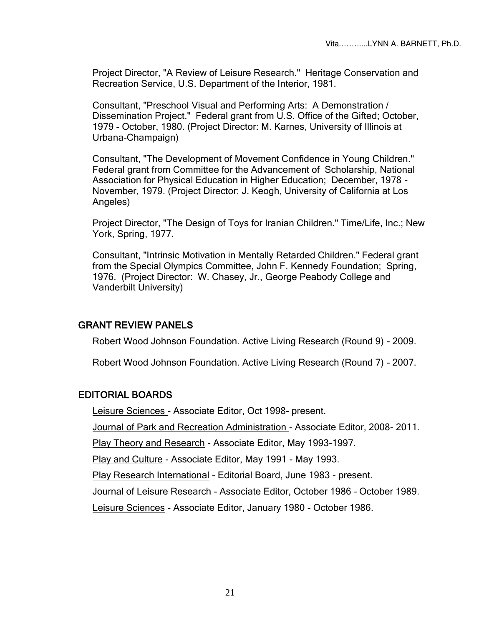Project Director, "A Review of Leisure Research." Heritage Conservation and Recreation Service, U.S. Department of the Interior, 1981.

Consultant, "Preschool Visual and Performing Arts: A Demonstration / Dissemination Project." Federal grant from U.S. Office of the Gifted; October, 1979 - October, 1980. (Project Director: M. Karnes, University of Illinois at Urbana-Champaign)

Consultant, "The Development of Movement Confidence in Young Children." Federal grant from Committee for the Advancement of Scholarship, National Association for Physical Education in Higher Education; December, 1978 - November, 1979. (Project Director: J. Keogh, University of California at Los Angeles)

Project Director, "The Design of Toys for Iranian Children." Time/Life, Inc.; New York, Spring, 1977.

Consultant, "Intrinsic Motivation in Mentally Retarded Children." Federal grant from the Special Olympics Committee, John F. Kennedy Foundation; Spring, 1976. (Project Director: W. Chasey, Jr., George Peabody College and Vanderbilt University)

#### GRANT REVIEW PANELS

Robert Wood Johnson Foundation. Active Living Research (Round 9) - 2009.

Robert Wood Johnson Foundation. Active Living Research (Round 7) - 2007.

#### EDITORIAL BOARDS

Leisure Sciences - Associate Editor, Oct 1998- present.

Journal of Park and Recreation Administration - Associate Editor, 2008- 2011.

Play Theory and Research - Associate Editor, May 1993-1997.

Play and Culture - Associate Editor, May 1991 - May 1993.

Play Research International - Editorial Board, June 1983 - present.

Journal of Leisure Research - Associate Editor, October 1986 – October 1989.

Leisure Sciences - Associate Editor, January 1980 - October 1986.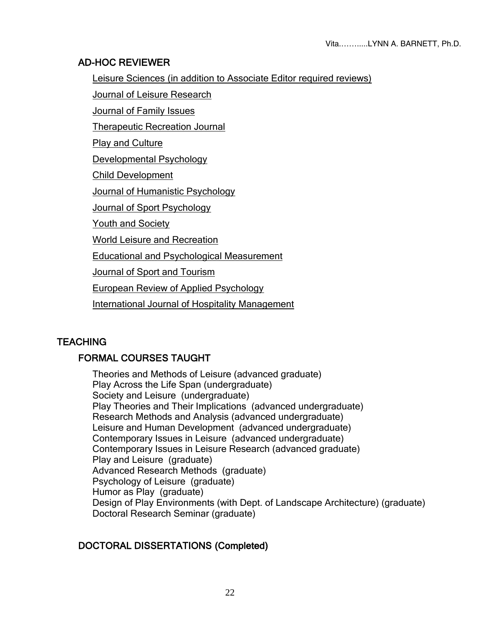#### AD-HOC REVIEWER

Leisure Sciences (in addition to Associate Editor required reviews)

Journal of Leisure Research

Journal of Family Issues

Therapeutic Recreation Journal

**Play and Culture** 

Developmental Psychology

Child Development

Journal of Humanistic Psychology

**Journal of Sport Psychology** 

Youth and Society

World Leisure and Recreation

Educational and Psychological Measurement

Journal of Sport and Tourism

European Review of Applied Psychology

International Journal of Hospitality Management

# **TEACHING**

# FORMAL COURSES TAUGHT

Theories and Methods of Leisure (advanced graduate) Play Across the Life Span (undergraduate) Society and Leisure (undergraduate) Play Theories and Their Implications (advanced undergraduate) Research Methods and Analysis (advanced undergraduate) Leisure and Human Development (advanced undergraduate) Contemporary Issues in Leisure (advanced undergraduate) Contemporary Issues in Leisure Research (advanced graduate) Play and Leisure (graduate) Advanced Research Methods (graduate) Psychology of Leisure (graduate) Humor as Play (graduate) Design of Play Environments (with Dept. of Landscape Architecture) (graduate) Doctoral Research Seminar (graduate)

# DOCTORAL DISSERTATIONS (Completed)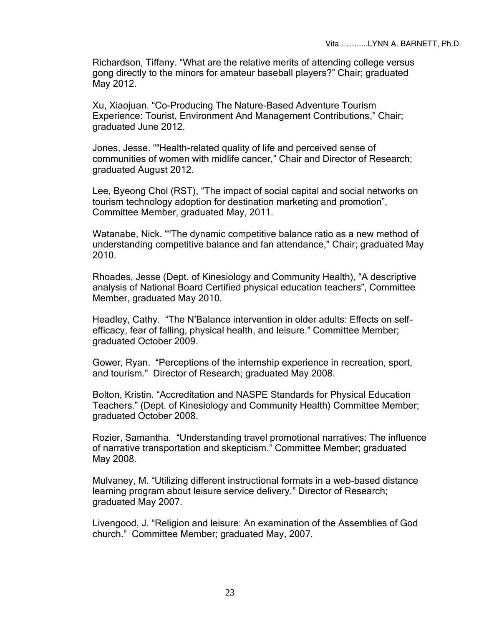Richardson, Tiffany. "What are the relative merits of attending college versus gong directly to the minors for amateur baseball players?" Chair; graduated May 2012.

Xu, Xiaojuan. "Co-Producing The Nature-Based Adventure Tourism Experience: Tourist, Environment And Management Contributions," Chair; graduated June 2012.

Jones, Jesse. ""Health-related quality of life and perceived sense of communities of women with midlife cancer," Chair and Director of Research; graduated August 2012.

Lee, Byeong Chol (RST), "The impact of social capital and social networks on tourism technology adoption for destination marketing and promotion", Committee Member, graduated May, 2011.

Watanabe, Nick. ""The dynamic competitive balance ratio as a new method of understanding competitive balance and fan attendance," Chair; graduated May 2010.

Rhoades, Jesse (Dept. of Kinesiology and Community Health), "A descriptive analysis of National Board Certified physical education teachers", Committee Member, graduated May 2010.

Headley, Cathy. "The N'Balance intervention in older adults: Effects on selfefficacy, fear of falling, physical health, and leisure." Committee Member; graduated October 2009.

Gower, Ryan. "Perceptions of the internship experience in recreation, sport, and tourism." Director of Research; graduated May 2008.

Bolton, Kristin. "Accreditation and NASPE Standards for Physical Education Teachers." (Dept. of Kinesiology and Community Health) Committee Member; graduated October 2008.

Rozier, Samantha. "Understanding travel promotional narratives: The influence of narrative transportation and skepticism." Committee Member; graduated May 2008.

Mulvaney, M. "Utilizing different instructional formats in a web-based distance learning program about leisure service delivery." Director of Research; graduated May 2007.

Livengood, J. "Religion and leisure: An examination of the Assemblies of God church." Committee Member; graduated May, 2007.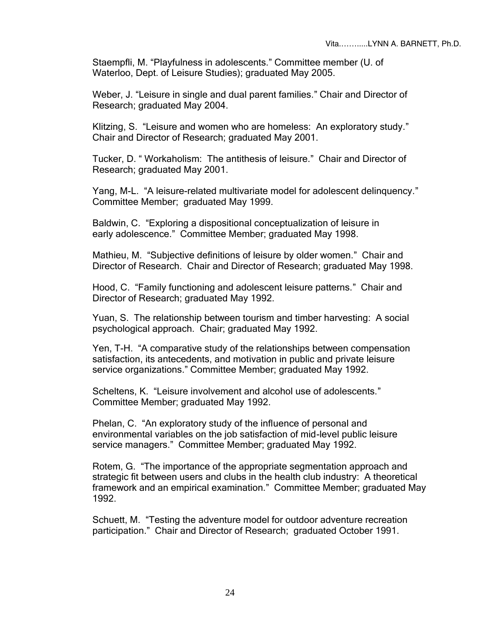Staempfli, M. "Playfulness in adolescents." Committee member (U. of Waterloo, Dept. of Leisure Studies); graduated May 2005.

Weber, J. "Leisure in single and dual parent families." Chair and Director of Research; graduated May 2004.

Klitzing, S. "Leisure and women who are homeless: An exploratory study." Chair and Director of Research; graduated May 2001.

Tucker, D. " Workaholism: The antithesis of leisure." Chair and Director of Research; graduated May 2001.

Yang, M-L. "A leisure-related multivariate model for adolescent delinquency." Committee Member; graduated May 1999.

Baldwin, C. "Exploring a dispositional conceptualization of leisure in early adolescence." Committee Member; graduated May 1998.

Mathieu, M. "Subjective definitions of leisure by older women." Chair and Director of Research. Chair and Director of Research; graduated May 1998.

Hood, C. "Family functioning and adolescent leisure patterns." Chair and Director of Research; graduated May 1992.

Yuan, S. The relationship between tourism and timber harvesting: A social psychological approach. Chair; graduated May 1992.

Yen, T-H. "A comparative study of the relationships between compensation satisfaction, its antecedents, and motivation in public and private leisure service organizations." Committee Member; graduated May 1992.

Scheltens, K. "Leisure involvement and alcohol use of adolescents." Committee Member; graduated May 1992.

Phelan, C. "An exploratory study of the influence of personal and environmental variables on the job satisfaction of mid-level public leisure service managers." Committee Member; graduated May 1992.

Rotem, G. "The importance of the appropriate segmentation approach and strategic fit between users and clubs in the health club industry: A theoretical framework and an empirical examination." Committee Member; graduated May 1992.

Schuett, M. "Testing the adventure model for outdoor adventure recreation participation." Chair and Director of Research; graduated October 1991.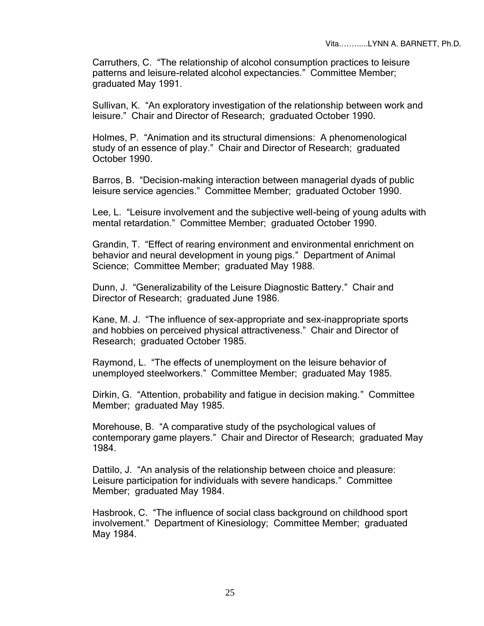Carruthers, C. "The relationship of alcohol consumption practices to leisure patterns and leisure-related alcohol expectancies." Committee Member; graduated May 1991.

Sullivan, K. "An exploratory investigation of the relationship between work and leisure." Chair and Director of Research; graduated October 1990.

Holmes, P. "Animation and its structural dimensions: A phenomenological study of an essence of play." Chair and Director of Research; graduated October 1990.

Barros, B. "Decision-making interaction between managerial dyads of public leisure service agencies." Committee Member; graduated October 1990.

Lee, L. "Leisure involvement and the subjective well-being of young adults with mental retardation." Committee Member; graduated October 1990.

Grandin, T. "Effect of rearing environment and environmental enrichment on behavior and neural development in young pigs." Department of Animal Science; Committee Member; graduated May 1988.

Dunn, J. "Generalizability of the Leisure Diagnostic Battery." Chair and Director of Research; graduated June 1986.

Kane, M. J. "The influence of sex-appropriate and sex-inappropriate sports and hobbies on perceived physical attractiveness." Chair and Director of Research; graduated October 1985.

Raymond, L. "The effects of unemployment on the leisure behavior of unemployed steelworkers." Committee Member; graduated May 1985.

Dirkin, G. "Attention, probability and fatigue in decision making." Committee Member; graduated May 1985.

Morehouse, B. "A comparative study of the psychological values of contemporary game players." Chair and Director of Research; graduated May 1984.

Dattilo, J. "An analysis of the relationship between choice and pleasure: Leisure participation for individuals with severe handicaps." Committee Member; graduated May 1984.

Hasbrook, C. "The influence of social class background on childhood sport involvement." Department of Kinesiology; Committee Member; graduated May 1984.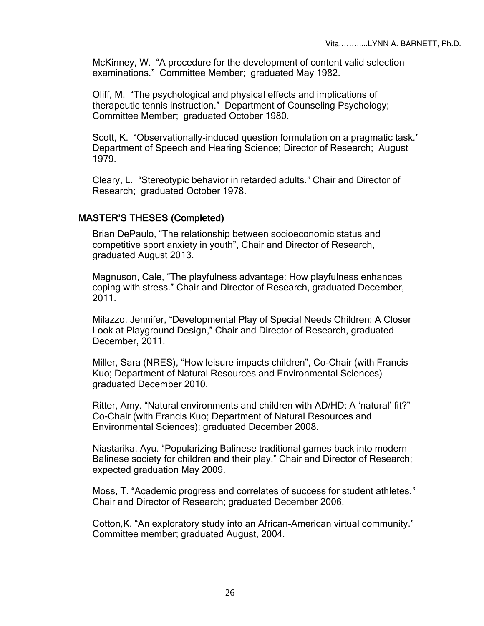McKinney, W. "A procedure for the development of content valid selection examinations." Committee Member; graduated May 1982.

Oliff, M. "The psychological and physical effects and implications of therapeutic tennis instruction." Department of Counseling Psychology; Committee Member; graduated October 1980.

Scott, K. "Observationally-induced question formulation on a pragmatic task." Department of Speech and Hearing Science; Director of Research; August 1979.

Cleary, L. "Stereotypic behavior in retarded adults." Chair and Director of Research; graduated October 1978.

#### MASTER'S THESES (Completed)

Brian DePaulo, "The relationship between socioeconomic status and competitive sport anxiety in youth", Chair and Director of Research, graduated August 2013.

Magnuson, Cale, "The playfulness advantage: How playfulness enhances coping with stress." Chair and Director of Research, graduated December, 2011.

Milazzo, Jennifer, "Developmental Play of Special Needs Children: A Closer Look at Playground Design," Chair and Director of Research, graduated December, 2011.

Miller, Sara (NRES), "How leisure impacts children", Co-Chair (with Francis Kuo; Department of Natural Resources and Environmental Sciences) graduated December 2010.

Ritter, Amy. "Natural environments and children with AD/HD: A 'natural' fit?" Co-Chair (with Francis Kuo; Department of Natural Resources and Environmental Sciences); graduated December 2008.

Niastarika, Ayu. "Popularizing Balinese traditional games back into modern Balinese society for children and their play." Chair and Director of Research; expected graduation May 2009.

Moss, T. "Academic progress and correlates of success for student athletes." Chair and Director of Research; graduated December 2006.

Cotton,K. "An exploratory study into an African-American virtual community." Committee member; graduated August, 2004.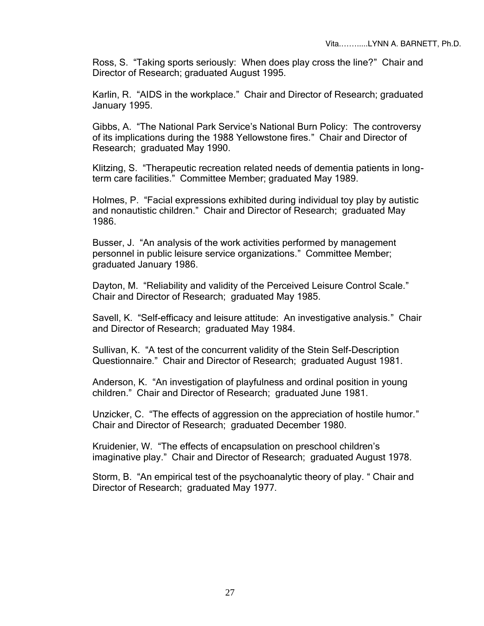Ross, S. "Taking sports seriously: When does play cross the line?" Chair and Director of Research; graduated August 1995.

Karlin, R. "AIDS in the workplace." Chair and Director of Research; graduated January 1995.

Gibbs, A. "The National Park Service's National Burn Policy: The controversy of its implications during the 1988 Yellowstone fires." Chair and Director of Research; graduated May 1990.

Klitzing, S. "Therapeutic recreation related needs of dementia patients in longterm care facilities." Committee Member; graduated May 1989.

Holmes, P. "Facial expressions exhibited during individual toy play by autistic and nonautistic children." Chair and Director of Research; graduated May 1986.

Busser, J. "An analysis of the work activities performed by management personnel in public leisure service organizations." Committee Member; graduated January 1986.

Dayton, M. "Reliability and validity of the Perceived Leisure Control Scale." Chair and Director of Research; graduated May 1985.

Savell, K. "Self-efficacy and leisure attitude: An investigative analysis." Chair and Director of Research; graduated May 1984.

Sullivan, K. "A test of the concurrent validity of the Stein Self-Description Questionnaire." Chair and Director of Research; graduated August 1981.

Anderson, K. "An investigation of playfulness and ordinal position in young children." Chair and Director of Research; graduated June 1981.

Unzicker, C. "The effects of aggression on the appreciation of hostile humor." Chair and Director of Research; graduated December 1980.

Kruidenier, W. "The effects of encapsulation on preschool children's imaginative play." Chair and Director of Research; graduated August 1978.

Storm, B. "An empirical test of the psychoanalytic theory of play. " Chair and Director of Research; graduated May 1977.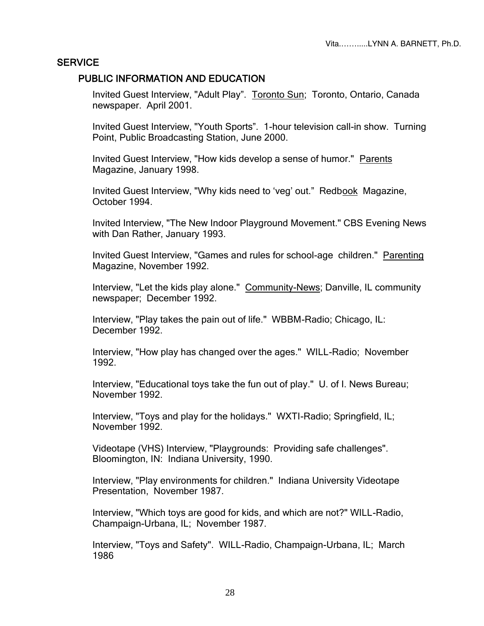#### **SERVICE**

#### PUBLIC INFORMATION AND EDUCATION

Invited Guest Interview, "Adult Play". Toronto Sun; Toronto, Ontario, Canada newspaper. April 2001.

Invited Guest Interview, "Youth Sports". 1-hour television call-in show. Turning Point, Public Broadcasting Station, June 2000.

Invited Guest Interview, "How kids develop a sense of humor." Parents Magazine, January 1998.

Invited Guest Interview, "Why kids need to 'veg' out." Redbook Magazine, October 1994.

Invited Interview, "The New Indoor Playground Movement." CBS Evening News with Dan Rather, January 1993.

Invited Guest Interview, "Games and rules for school-age children." Parenting Magazine, November 1992.

Interview, "Let the kids play alone." Community-News; Danville, IL community newspaper; December 1992.

Interview, "Play takes the pain out of life." WBBM-Radio; Chicago, IL: December 1992.

Interview, "How play has changed over the ages." WILL-Radio; November 1992.

Interview, "Educational toys take the fun out of play." U. of I. News Bureau; November 1992.

Interview, "Toys and play for the holidays." WXTI-Radio; Springfield, IL; November 1992.

Videotape (VHS) Interview, "Playgrounds: Providing safe challenges". Bloomington, IN: Indiana University, 1990.

Interview, "Play environments for children." Indiana University Videotape Presentation, November 1987.

Interview, "Which toys are good for kids, and which are not?" WILL-Radio, Champaign-Urbana, IL; November 1987.

Interview, "Toys and Safety". WILL-Radio, Champaign-Urbana, IL; March 1986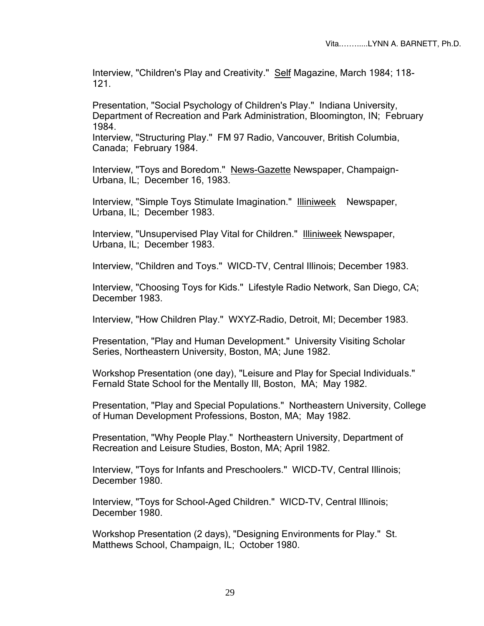Interview, "Children's Play and Creativity." Self Magazine, March 1984; 118-121.

Presentation, "Social Psychology of Children's Play." Indiana University, Department of Recreation and Park Administration, Bloomington, IN; February 1984.

Interview, "Structuring Play." FM 97 Radio, Vancouver, British Columbia, Canada; February 1984.

Interview, "Toys and Boredom." News-Gazette Newspaper, Champaign-Urbana, IL; December 16, 1983.

Interview, "Simple Toys Stimulate Imagination." Illiniweek Newspaper, Urbana, IL; December 1983.

Interview, "Unsupervised Play Vital for Children." Illiniweek Newspaper, Urbana, IL; December 1983.

Interview, "Children and Toys." WICD-TV, Central Illinois; December 1983.

Interview, "Choosing Toys for Kids." Lifestyle Radio Network, San Diego, CA; December 1983.

Interview, "How Children Play." WXYZ-Radio, Detroit, MI; December 1983.

Presentation, "Play and Human Development." University Visiting Scholar Series, Northeastern University, Boston, MA; June 1982.

Workshop Presentation (one day), "Leisure and Play for Special Individuals." Fernald State School for the Mentally Ill, Boston, MA; May 1982.

Presentation, "Play and Special Populations." Northeastern University, College of Human Development Professions, Boston, MA; May 1982.

Presentation, "Why People Play." Northeastern University, Department of Recreation and Leisure Studies, Boston, MA; April 1982.

Interview, "Toys for Infants and Preschoolers." WICD-TV, Central Illinois; December 1980.

Interview, "Toys for School-Aged Children." WICD-TV, Central Illinois; December 1980.

Workshop Presentation (2 days), "Designing Environments for Play." St. Matthews School, Champaign, IL; October 1980.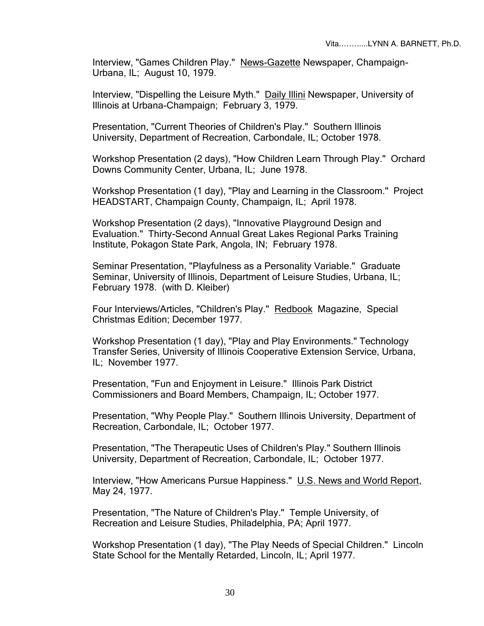Interview, "Games Children Play." News-Gazette Newspaper, Champaign-Urbana, IL; August 10, 1979.

Interview, "Dispelling the Leisure Myth." Daily Illini Newspaper, University of Illinois at Urbana-Champaign; February 3, 1979.

Presentation, "Current Theories of Children's Play." Southern Illinois University, Department of Recreation, Carbondale, IL; October 1978.

Workshop Presentation (2 days), "How Children Learn Through Play." Orchard Downs Community Center, Urbana, IL; June 1978.

Workshop Presentation (1 day), "Play and Learning in the Classroom." Project HEADSTART, Champaign County, Champaign, IL; April 1978.

Workshop Presentation (2 days), "Innovative Playground Design and Evaluation." Thirty-Second Annual Great Lakes Regional Parks Training Institute, Pokagon State Park, Angola, IN; February 1978.

Seminar Presentation, "Playfulness as a Personality Variable." Graduate Seminar, University of Illinois, Department of Leisure Studies, Urbana, IL; February 1978. (with D. Kleiber)

Four Interviews/Articles, "Children's Play." Redbook Magazine, Special Christmas Edition; December 1977.

Workshop Presentation (1 day), "Play and Play Environments." Technology Transfer Series, University of Illinois Cooperative Extension Service, Urbana, IL; November 1977.

Presentation, "Fun and Enjoyment in Leisure." Illinois Park District Commissioners and Board Members, Champaign, IL; October 1977.

Presentation, "Why People Play." Southern Illinois University, Department of Recreation, Carbondale, IL; October 1977.

Presentation, "The Therapeutic Uses of Children's Play." Southern Illinois University, Department of Recreation, Carbondale, IL; October 1977.

Interview, "How Americans Pursue Happiness." U.S. News and World Report, May 24, 1977.

Presentation, "The Nature of Children's Play." Temple University, of Recreation and Leisure Studies, Philadelphia, PA; April 1977.

Workshop Presentation (1 day), "The Play Needs of Special Children." Lincoln State School for the Mentally Retarded, Lincoln, IL; April 1977.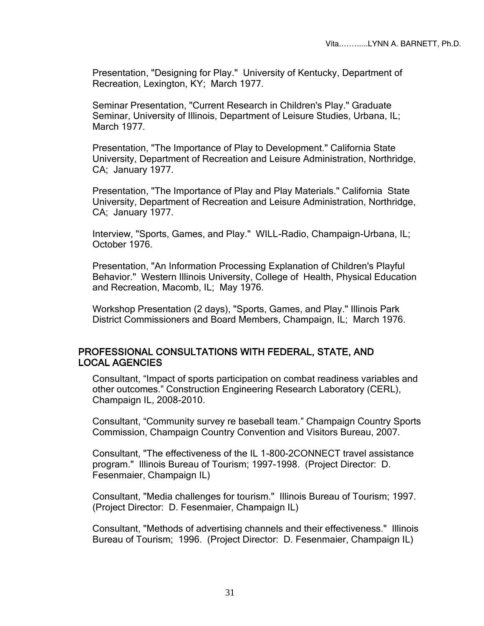Presentation, "Designing for Play." University of Kentucky, Department of Recreation, Lexington, KY; March 1977.

Seminar Presentation, "Current Research in Children's Play." Graduate Seminar, University of Illinois, Department of Leisure Studies, Urbana, IL; March 1977.

Presentation, "The Importance of Play to Development." California State University, Department of Recreation and Leisure Administration, Northridge, CA; January 1977.

Presentation, "The Importance of Play and Play Materials." California State University, Department of Recreation and Leisure Administration, Northridge, CA; January 1977.

Interview, "Sports, Games, and Play." WILL-Radio, Champaign-Urbana, IL; October 1976.

Presentation, "An Information Processing Explanation of Children's Playful Behavior." Western Illinois University, College of Health, Physical Education and Recreation, Macomb, IL; May 1976.

Workshop Presentation (2 days), "Sports, Games, and Play." Illinois Park District Commissioners and Board Members, Champaign, IL; March 1976.

#### PROFESSIONAL CONSULTATIONS WITH FEDERAL, STATE, AND LOCAL AGENCIES

Consultant, "Impact of sports participation on combat readiness variables and other outcomes." Construction Engineering Research Laboratory (CERL), Champaign IL, 2008-2010.

Consultant, "Community survey re baseball team." Champaign Country Sports Commission, Champaign Country Convention and Visitors Bureau, 2007.

Consultant, "The effectiveness of the IL 1-800-2CONNECT travel assistance program." Illinois Bureau of Tourism; 1997-1998. (Project Director: D. Fesenmaier, Champaign IL)

Consultant, "Media challenges for tourism." Illinois Bureau of Tourism; 1997. (Project Director: D. Fesenmaier, Champaign IL)

Consultant, "Methods of advertising channels and their effectiveness." Illinois Bureau of Tourism; 1996. (Project Director: D. Fesenmaier, Champaign IL)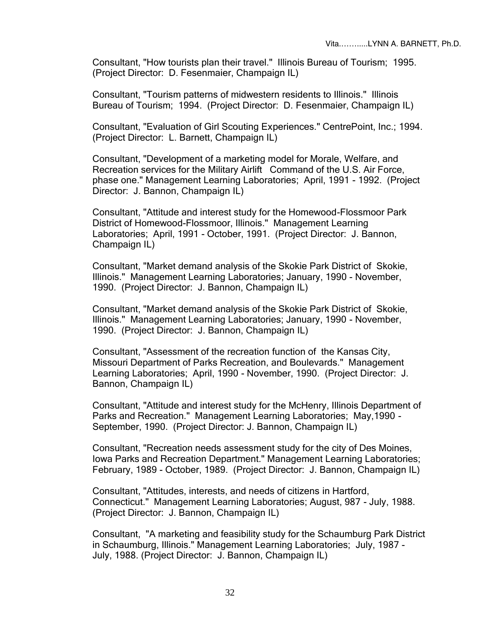Consultant, "How tourists plan their travel." Illinois Bureau of Tourism; 1995. (Project Director: D. Fesenmaier, Champaign IL)

Consultant, "Tourism patterns of midwestern residents to Illinois." Illinois Bureau of Tourism; 1994. (Project Director: D. Fesenmaier, Champaign IL)

Consultant, "Evaluation of Girl Scouting Experiences." CentrePoint, Inc.; 1994. (Project Director: L. Barnett, Champaign IL)

Consultant, "Development of a marketing model for Morale, Welfare, and Recreation services for the Military Airlift Command of the U.S. Air Force, phase one." Management Learning Laboratories; April, 1991 - 1992. (Project Director: J. Bannon, Champaign IL)

Consultant, "Attitude and interest study for the Homewood-Flossmoor Park District of Homewood-Flossmoor, Illinois." Management Learning Laboratories; April, 1991 - October, 1991. (Project Director: J. Bannon, Champaign IL)

Consultant, "Market demand analysis of the Skokie Park District of Skokie, Illinois." Management Learning Laboratories; January, 1990 - November, 1990. (Project Director: J. Bannon, Champaign IL)

Consultant, "Market demand analysis of the Skokie Park District of Skokie, Illinois." Management Learning Laboratories; January, 1990 - November, 1990. (Project Director: J. Bannon, Champaign IL)

Consultant, "Assessment of the recreation function of the Kansas City, Missouri Department of Parks Recreation, and Boulevards." Management Learning Laboratories; April, 1990 - November, 1990. (Project Director: J. Bannon, Champaign IL)

Consultant, "Attitude and interest study for the McHenry, Illinois Department of Parks and Recreation." Management Learning Laboratories; May,1990 - September, 1990. (Project Director: J. Bannon, Champaign IL)

Consultant, "Recreation needs assessment study for the city of Des Moines, Iowa Parks and Recreation Department." Management Learning Laboratories; February, 1989 - October, 1989. (Project Director: J. Bannon, Champaign IL)

Consultant, "Attitudes, interests, and needs of citizens in Hartford, Connecticut." Management Learning Laboratories; August, 987 - July, 1988. (Project Director: J. Bannon, Champaign IL)

Consultant, "A marketing and feasibility study for the Schaumburg Park District in Schaumburg, Illinois." Management Learning Laboratories; July, 1987 - July, 1988. (Project Director: J. Bannon, Champaign IL)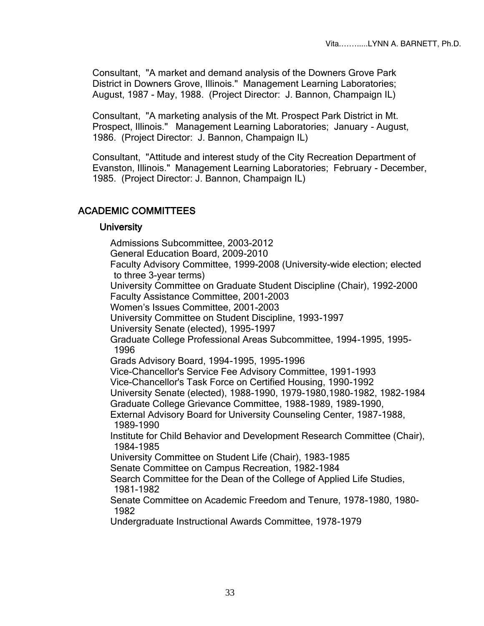Consultant, "A market and demand analysis of the Downers Grove Park District in Downers Grove, Illinois." Management Learning Laboratories; August, 1987 - May, 1988. (Project Director: J. Bannon, Champaign IL)

Consultant, "A marketing analysis of the Mt. Prospect Park District in Mt. Prospect, Illinois." Management Learning Laboratories; January - August, 1986. (Project Director: J. Bannon, Champaign IL)

Consultant, "Attitude and interest study of the City Recreation Department of Evanston, Illinois." Management Learning Laboratories; February - December, 1985. (Project Director: J. Bannon, Champaign IL)

## ACADEMIC COMMITTEES

#### **University**

Admissions Subcommittee, 2003-2012 General Education Board, 2009-2010 Faculty Advisory Committee, 1999-2008 (University-wide election; elected to three 3-year terms) University Committee on Graduate Student Discipline (Chair), 1992-2000 Faculty Assistance Committee, 2001-2003 Women's Issues Committee, 2001-2003 University Committee on Student Discipline, 1993-1997 University Senate (elected), 1995-1997 Graduate College Professional Areas Subcommittee, 1994-1995, 1995- 1996 Grads Advisory Board, 1994-1995, 1995-1996 Vice-Chancellor's Service Fee Advisory Committee, 1991-1993 Vice-Chancellor's Task Force on Certified Housing, 1990-1992 University Senate (elected), 1988-1990, 1979-1980,1980-1982, 1982-1984 Graduate College Grievance Committee, 1988-1989, 1989-1990, External Advisory Board for University Counseling Center, 1987-1988, 1989-1990 Institute for Child Behavior and Development Research Committee (Chair), 1984-1985 University Committee on Student Life (Chair), 1983-1985 Senate Committee on Campus Recreation, 1982-1984 Search Committee for the Dean of the College of Applied Life Studies, 1981-1982 Senate Committee on Academic Freedom and Tenure, 1978-1980, 1980- 1982

Undergraduate Instructional Awards Committee, 1978-1979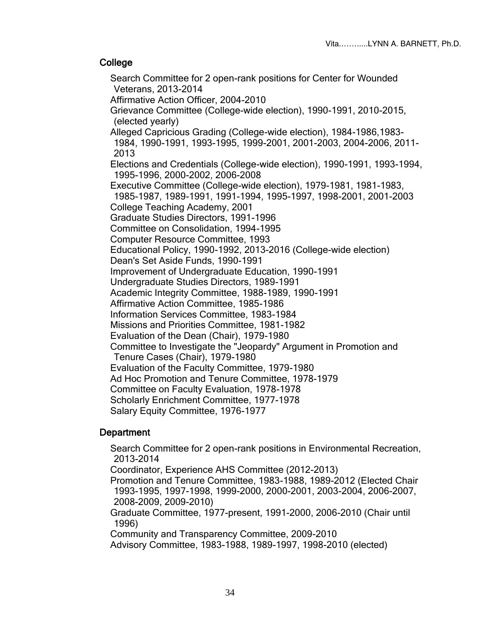## **College**

Search Committee for 2 open-rank positions for Center for Wounded Veterans, 2013-2014 Affirmative Action Officer, 2004-2010 Grievance Committee (College-wide election), 1990-1991, 2010-2015, (elected yearly) Alleged Capricious Grading (College-wide election), 1984-1986,1983- 1984, 1990-1991, 1993-1995, 1999-2001, 2001-2003, 2004-2006, 2011- 2013 Elections and Credentials (College-wide election), 1990-1991, 1993-1994, 1995-1996, 2000-2002, 2006-2008 Executive Committee (College-wide election), 1979-1981, 1981-1983, 1985-1987, 1989-1991, 1991-1994, 1995-1997, 1998-2001, 2001-2003 College Teaching Academy, 2001 Graduate Studies Directors, 1991-1996 Committee on Consolidation, 1994-1995 Computer Resource Committee, 1993 Educational Policy, 1990-1992, 2013-2016 (College-wide election) Dean's Set Aside Funds, 1990-1991 Improvement of Undergraduate Education, 1990-1991 Undergraduate Studies Directors, 1989-1991 Academic Integrity Committee, 1988-1989, 1990-1991 Affirmative Action Committee, 1985-1986 Information Services Committee, 1983-1984 Missions and Priorities Committee, 1981-1982 Evaluation of the Dean (Chair), 1979-1980 Committee to Investigate the "Jeopardy" Argument in Promotion and Tenure Cases (Chair), 1979-1980 Evaluation of the Faculty Committee, 1979-1980 Ad Hoc Promotion and Tenure Committee, 1978-1979 Committee on Faculty Evaluation, 1978-1978 Scholarly Enrichment Committee, 1977-1978 Salary Equity Committee, 1976-1977

## **Department**

Search Committee for 2 open-rank positions in Environmental Recreation, 2013-2014 Coordinator, Experience AHS Committee (2012-2013) Promotion and Tenure Committee, 1983-1988, 1989-2012 (Elected Chair 1993-1995, 1997-1998, 1999-2000, 2000-2001, 2003-2004, 2006-2007, 2008-2009, 2009-2010) Graduate Committee, 1977-present, 1991-2000, 2006-2010 (Chair until 1996) Community and Transparency Committee, 2009-2010 Advisory Committee, 1983-1988, 1989-1997, 1998-2010 (elected)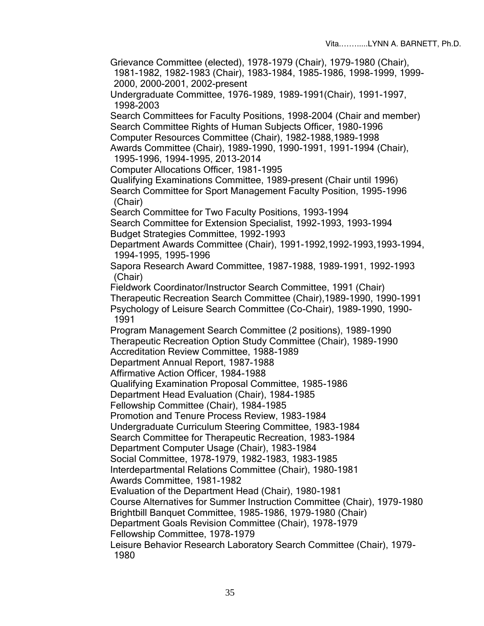Grievance Committee (elected), 1978-1979 (Chair), 1979-1980 (Chair), 1981-1982, 1982-1983 (Chair), 1983-1984, 1985-1986, 1998-1999, 1999- 2000, 2000-2001, 2002-present

Undergraduate Committee, 1976-1989, 1989-1991(Chair), 1991-1997, 1998-2003

Search Committees for Faculty Positions, 1998-2004 (Chair and member) Search Committee Rights of Human Subjects Officer, 1980-1996 Computer Resources Committee (Chair), 1982-1988,1989-1998 Awards Committee (Chair), 1989-1990, 1990-1991, 1991-1994 (Chair), 1995-1996, 1994-1995, 2013-2014

Computer Allocations Officer, 1981-1995

Qualifying Examinations Committee, 1989-present (Chair until 1996) Search Committee for Sport Management Faculty Position, 1995-1996 (Chair)

Search Committee for Two Faculty Positions, 1993-1994

Search Committee for Extension Specialist, 1992-1993, 1993-1994 Budget Strategies Committee, 1992-1993

Department Awards Committee (Chair), 1991-1992,1992-1993,1993-1994, 1994-1995, 1995-1996

Sapora Research Award Committee, 1987-1988, 1989-1991, 1992-1993 (Chair)

Fieldwork Coordinator/Instructor Search Committee, 1991 (Chair) Therapeutic Recreation Search Committee (Chair),1989-1990, 1990-1991 Psychology of Leisure Search Committee (Co-Chair), 1989-1990, 1990- 1991

Program Management Search Committee (2 positions), 1989-1990 Therapeutic Recreation Option Study Committee (Chair), 1989-1990 Accreditation Review Committee, 1988-1989

Department Annual Report, 1987-1988

Affirmative Action Officer, 1984-1988

Qualifying Examination Proposal Committee, 1985-1986

Department Head Evaluation (Chair), 1984-1985

Fellowship Committee (Chair), 1984-1985

Promotion and Tenure Process Review, 1983-1984

Undergraduate Curriculum Steering Committee, 1983-1984

Search Committee for Therapeutic Recreation, 1983-1984

Department Computer Usage (Chair), 1983-1984

Social Committee, 1978-1979, 1982-1983, 1983-1985

Interdepartmental Relations Committee (Chair), 1980-1981 Awards Committee, 1981-1982

Evaluation of the Department Head (Chair), 1980-1981

Course Alternatives for Summer Instruction Committee (Chair), 1979-1980

Brightbill Banquet Committee, 1985-1986, 1979-1980 (Chair)

Department Goals Revision Committee (Chair), 1978-1979

Fellowship Committee, 1978-1979

Leisure Behavior Research Laboratory Search Committee (Chair), 1979- 1980